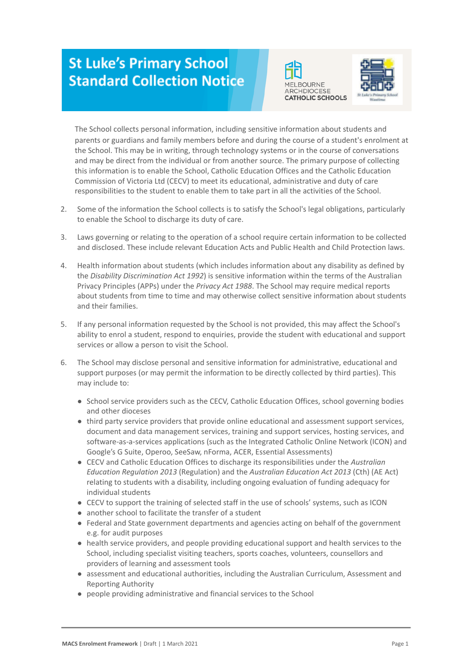## **St Luke's Primary School Standard Collection Notice**





1. The School collects personal information, including sensitive information about students and parents or guardians and family members before and during the course of a student's enrolment at the School. This may be in writing, through technology systems or in the course of conversations and may be direct from the individual or from another source. The primary purpose of collecting this information is to enable the School, Catholic Education Offices and the Catholic Education Commission of Victoria Ltd (CECV) to meet its educational, administrative and duty of care responsibilities to the student to enable them to take part in all the activities of the School.

- 2. Some of the information the School collects is to satisfy the School's legal obligations, particularly to enable the School to discharge its duty of care.
- 3. Laws governing or relating to the operation of a school require certain information to be collected and disclosed. These include relevant Education Acts and Public Health and Child Protection laws.
- 4. Health information about students (which includes information about any disability as defined by the *Disability Discrimination Act 1992*) is sensitive information within the terms of the Australian Privacy Principles (APPs) under the *Privacy Act 1988*. The School may require medical reports about students from time to time and may otherwise collect sensitive information about students and their families.
- 5. If any personal information requested by the School is not provided, this may affect the School's ability to enrol a student, respond to enquiries, provide the student with educational and support services or allow a person to visit the School.
- 6. The School may disclose personal and sensitive information for administrative, educational and support purposes (or may permit the information to be directly collected by third parties). This may include to:
	- School service providers such as the CECV, Catholic Education Offices, school governing bodies and other dioceses
	- third party service providers that provide online educational and assessment support services, document and data management services, training and support services, hosting services, and software-as-a-services applications (such as the Integrated Catholic Online Network (ICON) and Google's G Suite, Operoo, SeeSaw, nForma, ACER, Essential Assessments)
	- CECV and Catholic Education Offices to discharge its responsibilities under the *Australian Education Regulation 2013* (Regulation) and the *Australian Education Act 2013* (Cth) (AE Act) relating to students with a disability, including ongoing evaluation of funding adequacy for individual students
	- CECV to support the training of selected staff in the use of schools' systems, such as ICON
	- another school to facilitate the transfer of a student
	- Federal and State government departments and agencies acting on behalf of the government e.g. for audit purposes
	- health service providers, and people providing educational support and health services to the School, including specialist visiting teachers, sports coaches, volunteers, counsellors and providers of learning and assessment tools
	- assessment and educational authorities, including the Australian Curriculum, Assessment and Reporting Authority
	- people providing administrative and financial services to the School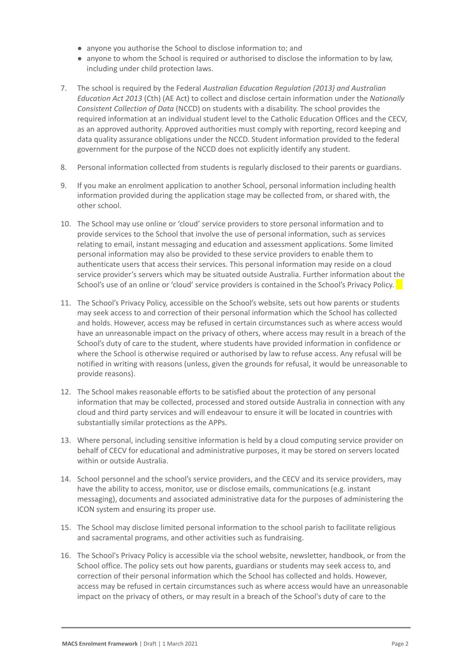- anyone you authorise the School to disclose information to; and
- anyone to whom the School is required or authorised to disclose the information to by law, including under child protection laws.
- 7. The school is required by the Federal *Australian Education Regulation (2013) and Australian Education Act 2013* (Cth) (AE Act) to collect and disclose certain information under the *Nationally Consistent Collection of Data* (NCCD) on students with a disability. The school provides the required information at an individual student level to the Catholic Education Offices and the CECV, as an approved authority. Approved authorities must comply with reporting, record keeping and data quality assurance obligations under the NCCD. Student information provided to the federal government for the purpose of the NCCD does not explicitly identify any student.
- 8. Personal information collected from students is regularly disclosed to their parents or guardians.
- 9. If you make an enrolment application to another School, personal information including health information provided during the application stage may be collected from, or shared with, the other school.
- 10. The School may use online or 'cloud' service providers to store personal information and to provide services to the School that involve the use of personal information, such as services relating to email, instant messaging and education and assessment applications. Some limited personal information may also be provided to these service providers to enable them to authenticate users that access their services. This personal information may reside on a cloud service provider's servers which may be situated outside Australia. Further information about the School's use of an online or 'cloud' service providers is contained in the School's Privacy Policy.
- 11. The School's Privacy Policy, accessible on the School's website, sets out how parents or students may seek access to and correction of their personal information which the School has collected and holds. However, access may be refused in certain circumstances such as where access would have an unreasonable impact on the privacy of others, where access may result in a breach of the School's duty of care to the student, where students have provided information in confidence or where the School is otherwise required or authorised by law to refuse access. Any refusal will be notified in writing with reasons (unless, given the grounds for refusal, it would be unreasonable to provide reasons).
- 12. The School makes reasonable efforts to be satisfied about the protection of any personal information that may be collected, processed and stored outside Australia in connection with any cloud and third party services and will endeavour to ensure it will be located in countries with substantially similar protections as the APPs.
- 13. Where personal, including sensitive information is held by a cloud computing service provider on behalf of CECV for educational and administrative purposes, it may be stored on servers located within or outside Australia.
- 14. School personnel and the school's service providers, and the CECV and its service providers, may have the ability to access, monitor, use or disclose emails, communications (e.g. instant messaging), documents and associated administrative data for the purposes of administering the ICON system and ensuring its proper use.
- 15. The School may disclose limited personal information to the school parish to facilitate religious and sacramental programs, and other activities such as fundraising.
- 16. The School's Privacy Policy is accessible via the school website, newsletter, handbook, or from the School office. The policy sets out how parents, guardians or students may seek access to, and correction of their personal information which the School has collected and holds. However, access may be refused in certain circumstances such as where access would have an unreasonable impact on the privacy of others, or may result in a breach of the School's duty of care to the